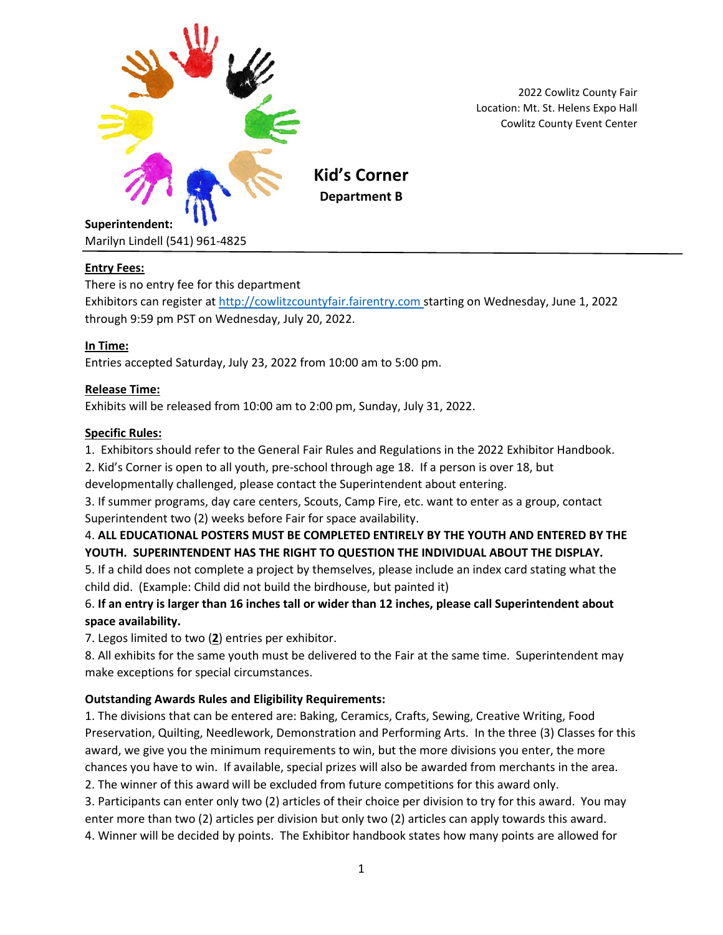

2022 Cowlitz County Fair Location: Mt. St. Helens Expo Hall Cowlitz County Event Center

### **Entry Fees:**

There is no entry fee for this department

Exhibitors can register at [http://cowlitzcountyfair.fairentry.com](http://cowlitzcountyfair.fairentry.com/) starting on Wednesday, June 1, 2022 through 9:59 pm PST on Wednesday, July 20, 2022.

#### **In Time:**

Entries accepted Saturday, July 23, 2022 from 10:00 am to 5:00 pm.

### **Release Time:**

Exhibits will be released from 10:00 am to 2:00 pm, Sunday, July 31, 2022.

#### **Specific Rules:**

- 1. Exhibitors should refer to the General Fair Rules and Regulations in the 2022 Exhibitor Handbook.
- 2. Kid's Corner is open to all youth, pre-school through age 18. If a person is over 18, but

developmentally challenged, please contact the Superintendent about entering.

3. If summer programs, day care centers, Scouts, Camp Fire, etc. want to enter as a group, contact Superintendent two (2) weeks before Fair for space availability.

## 4. **ALL EDUCATIONAL POSTERS MUST BE COMPLETED ENTIRELY BY THE YOUTH AND ENTERED BY THE YOUTH. SUPERINTENDENT HAS THE RIGHT TO QUESTION THE INDIVIDUAL ABOUT THE DISPLAY.**

5. If a child does not complete a project by themselves, please include an index card stating what the child did. (Example: Child did not build the birdhouse, but painted it)

# 6. **If an entry is larger than 16 inches tall or wider than 12 inches, please call Superintendent about space availability.**

7. Legos limited to two (**2**) entries per exhibitor.

8. All exhibits for the same youth must be delivered to the Fair at the same time. Superintendent may make exceptions for special circumstances.

### **Outstanding Awards Rules and Eligibility Requirements:**

1. The divisions that can be entered are: Baking, Ceramics, Crafts, Sewing, Creative Writing, Food Preservation, Quilting, Needlework, Demonstration and Performing Arts. In the three (3) Classes for this award, we give you the minimum requirements to win, but the more divisions you enter, the more chances you have to win. If available, special prizes will also be awarded from merchants in the area.

2. The winner of this award will be excluded from future competitions for this award only.

3. Participants can enter only two (2) articles of their choice per division to try for this award. You may enter more than two (2) articles per division but only two (2) articles can apply towards this award. 4. Winner will be decided by points. The Exhibitor handbook states how many points are allowed for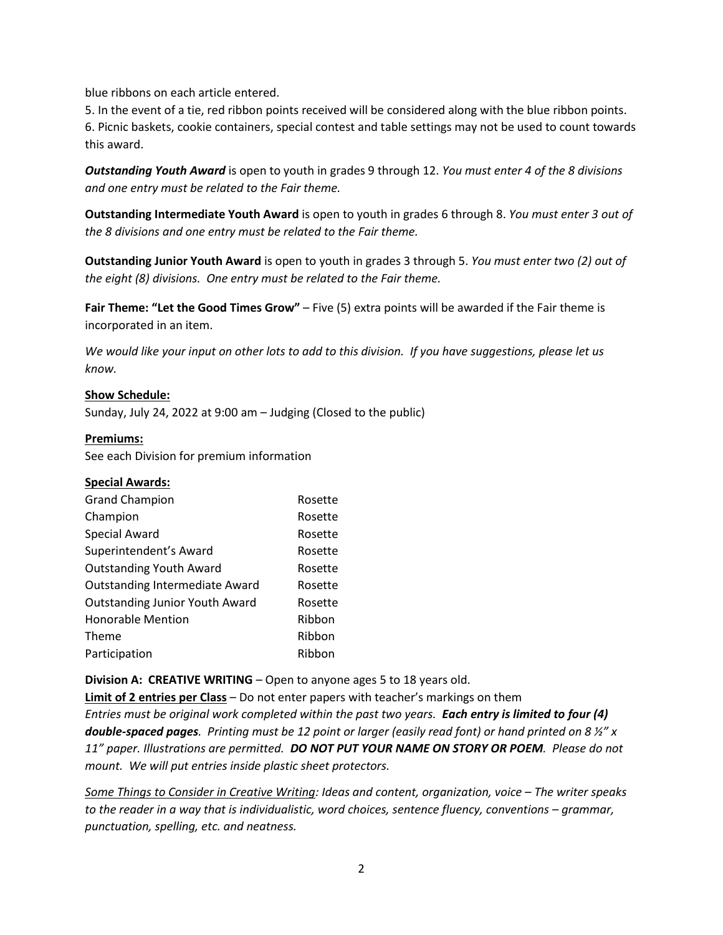blue ribbons on each article entered.

5. In the event of a tie, red ribbon points received will be considered along with the blue ribbon points. 6. Picnic baskets, cookie containers, special contest and table settings may not be used to count towards this award.

*Outstanding Youth Award* is open to youth in grades 9 through 12. *You must enter 4 of the 8 divisions and one entry must be related to the Fair theme.*

**Outstanding Intermediate Youth Award** is open to youth in grades 6 through 8. *You must enter 3 out of the 8 divisions and one entry must be related to the Fair theme.*

**Outstanding Junior Youth Award** is open to youth in grades 3 through 5. *You must enter two (2) out of the eight (8) divisions. One entry must be related to the Fair theme.*

**Fair Theme: "Let the Good Times Grow"** – Five (5) extra points will be awarded if the Fair theme is incorporated in an item.

*We would like your input on other lots to add to this division. If you have suggestions, please let us know.*

#### **Show Schedule:**

Sunday, July 24, 2022 at 9:00 am – Judging (Closed to the public)

#### **Premiums:**

See each Division for premium information

### **Special Awards:**

| <b>Grand Champion</b>                 | Rosette |
|---------------------------------------|---------|
| Champion                              | Rosette |
| <b>Special Award</b>                  | Rosette |
| Superintendent's Award                | Rosette |
| <b>Outstanding Youth Award</b>        | Rosette |
| <b>Outstanding Intermediate Award</b> | Rosette |
| <b>Outstanding Junior Youth Award</b> | Rosette |
| <b>Honorable Mention</b>              | Ribbon  |
| Theme                                 | Ribbon  |
| Participation                         | Ribbon  |

**Division A: CREATIVE WRITING** – Open to anyone ages 5 to 18 years old.

**Limit of 2 entries per Class** – Do not enter papers with teacher's markings on them *Entries must be original work completed within the past two years. Each entry is limited to four (4) double-spaced pages. Printing must be 12 point or larger (easily read font) or hand printed on 8 ½" x 11" paper. Illustrations are permitted. DO NOT PUT YOUR NAME ON STORY OR POEM. Please do not mount. We will put entries inside plastic sheet protectors.*

*Some Things to Consider in Creative Writing: Ideas and content, organization, voice – The writer speaks to the reader in a way that is individualistic, word choices, sentence fluency, conventions – grammar, punctuation, spelling, etc. and neatness.*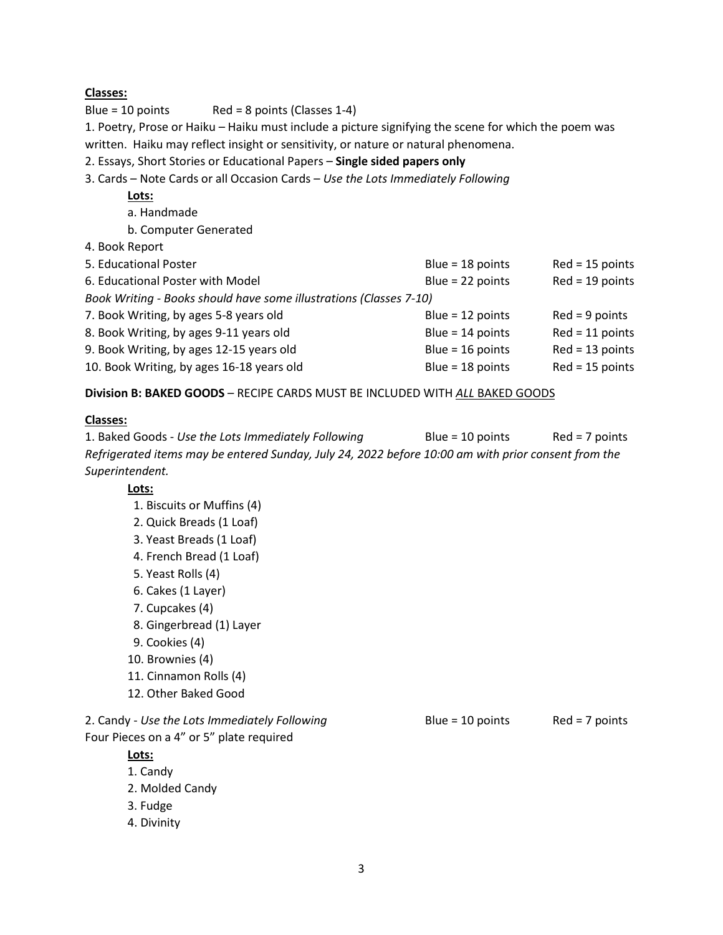### **Classes:**

Blue = 10 points Red = 8 points (Classes  $1-4$ )

1. Poetry, Prose or Haiku – Haiku must include a picture signifying the scene for which the poem was written. Haiku may reflect insight or sensitivity, or nature or natural phenomena.

2. Essays, Short Stories or Educational Papers – **Single sided papers only**

3. Cards – Note Cards or all Occasion Cards – *Use the Lots Immediately Following*

# **Lots:**

- a. Handmade
- b. Computer Generated
- 4. Book Report

| 5. Educational Poster                                              | Blue = $18$ points | $Red = 15$ points |  |
|--------------------------------------------------------------------|--------------------|-------------------|--|
| 6. Educational Poster with Model                                   | Blue = $22$ points | $Red = 19$ points |  |
| Book Writing - Books should have some illustrations (Classes 7-10) |                    |                   |  |
| 7. Book Writing, by ages 5-8 years old                             | Blue = $12$ points | $Red = 9 points$  |  |
| 8. Book Writing, by ages 9-11 years old                            | Blue = $14$ points | $Red = 11$ points |  |
| 9. Book Writing, by ages 12-15 years old                           | Blue = $16$ points | $Red = 13$ points |  |
| 10. Book Writing, by ages 16-18 years old                          | Blue = $18$ points | $Red = 15$ points |  |
|                                                                    |                    |                   |  |

**Division B: BAKED GOODS** – RECIPE CARDS MUST BE INCLUDED WITH *ALL* BAKED GOODS

### **Classes:**

1. Baked Goods - *Use the Lots Immediately Following* Blue = 10 points Red = 7 points *Refrigerated items may be entered Sunday, July 24, 2022 before 10:00 am with prior consent from the Superintendent.*

**Lots:**

- 1. Biscuits or Muffins (4)
- 2. Quick Breads (1 Loaf)
- 3. Yeast Breads (1 Loaf)
- 4. French Bread (1 Loaf)
- 5. Yeast Rolls (4)
- 6. Cakes (1 Layer)
- 7. Cupcakes (4)
- 8. Gingerbread (1) Layer
- 9. Cookies (4)
- 10. Brownies (4)
- 11. Cinnamon Rolls (4)
- 12. Other Baked Good

2. Candy - *Use the Lots Immediately Following* Blue = 10 points Red = 7 points Four Pieces on a 4" or 5" plate required

## **Lots:**

- 1. Candy
- 2. Molded Candy
- 3. Fudge
- 4. Divinity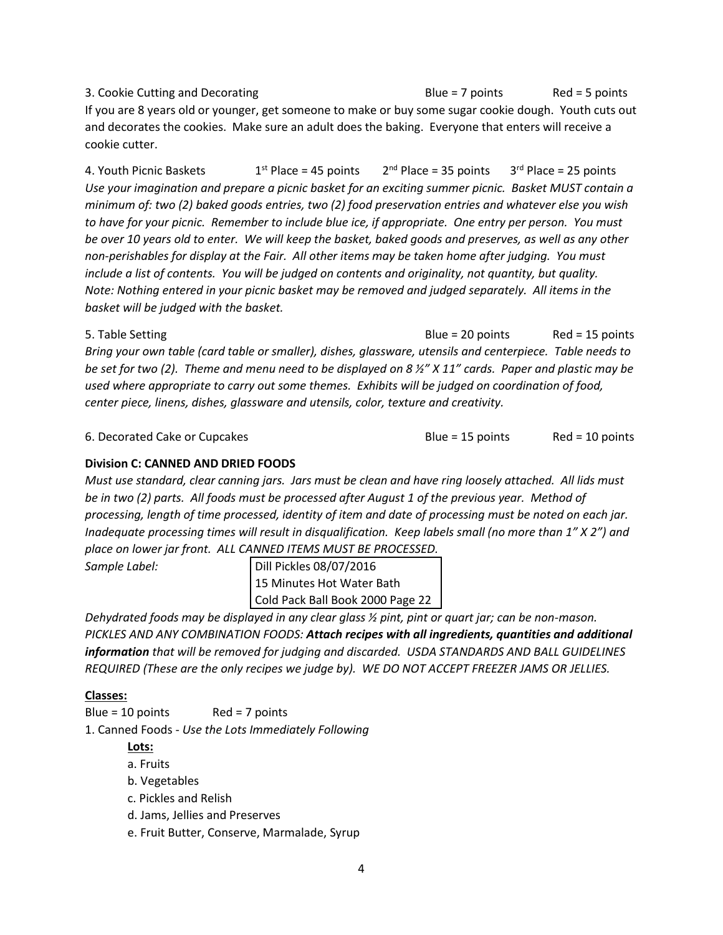3. Cookie Cutting and Decorating The State Cookie Cutting and Decorating The State Blue = 7 points Red = 5 points If you are 8 years old or younger, get someone to make or buy some sugar cookie dough. Youth cuts out and decorates the cookies. Make sure an adult does the baking. Everyone that enters will receive a cookie cutter.

4. Youth Picnic Baskets 1  $1<sup>st</sup>$  Place = 45 points  $2<sup>nd</sup>$  Place = 35 points  $3<sup>rd</sup>$  Place = 25 points *Use your imagination and prepare a picnic basket for an exciting summer picnic. Basket MUST contain a minimum of: two (2) baked goods entries, two (2) food preservation entries and whatever else you wish to have for your picnic. Remember to include blue ice, if appropriate. One entry per person. You must be over 10 years old to enter. We will keep the basket, baked goods and preserves, as well as any other non-perishables for display at the Fair. All other items may be taken home after judging. You must include a list of contents. You will be judged on contents and originality, not quantity, but quality. Note: Nothing entered in your picnic basket may be removed and judged separately. All items in the basket will be judged with the basket.*

5. Table Setting **Blue = 20 points** Red = 15 points Red = 15 points *Bring your own table (card table or smaller), dishes, glassware, utensils and centerpiece. Table needs to be set for two (2). Theme and menu need to be displayed on 8 ½" X 11" cards. Paper and plastic may be used where appropriate to carry out some themes. Exhibits will be judged on coordination of food, center piece, linens, dishes, glassware and utensils, color, texture and creativity.*

6. Decorated Cake or Cupcakes **Blue = 15 points** Red = 10 points Red = 10 points

## **Division C: CANNED AND DRIED FOODS**

*Must use standard, clear canning jars. Jars must be clean and have ring loosely attached. All lids must be in two (2) parts. All foods must be processed after August 1 of the previous year. Method of processing, length of time processed, identity of item and date of processing must be noted on each jar. Inadequate processing times will result in disqualification. Keep labels small (no more than 1" X 2") and place on lower jar front. ALL CANNED ITEMS MUST BE PROCESSED.*

*Sample Label:* 

| Dill Pickles 08/07/2016<br>15 Minutes Hot Water Bath<br>Cold Pack Ball Book 2000 Page 22 |
|------------------------------------------------------------------------------------------|
|                                                                                          |
|                                                                                          |

*Dehydrated foods may be displayed in any clear glass ½ pint, pint or quart jar; can be non-mason. PICKLES AND ANY COMBINATION FOODS: Attach recipes with all ingredients, quantities and additional information that will be removed for judging and discarded. USDA STANDARDS AND BALL GUIDELINES REQUIRED (These are the only recipes we judge by). WE DO NOT ACCEPT FREEZER JAMS OR JELLIES.*

## **Classes:**

Blue =  $10$  points Red =  $7$  points

1. Canned Foods - *Use the Lots Immediately Following*

## **Lots:**

- a. Fruits
- b. Vegetables
- c. Pickles and Relish
- d. Jams, Jellies and Preserves
- e. Fruit Butter, Conserve, Marmalade, Syrup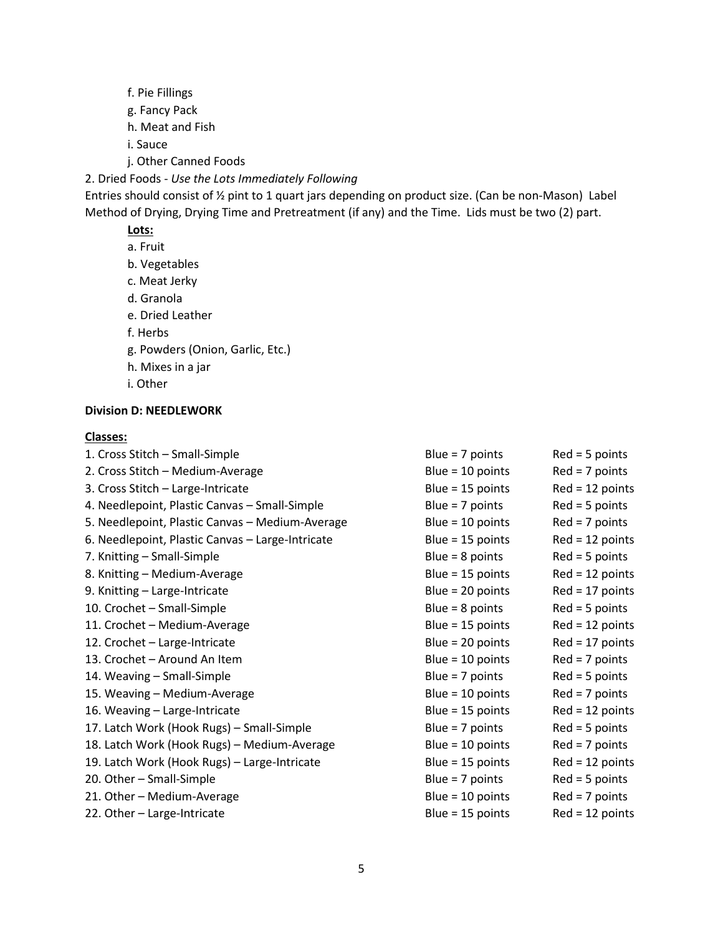- f. Pie Fillings
- g. Fancy Pack
- h. Meat and Fish
- i. Sauce
- j. Other Canned Foods

2. Dried Foods - *Use the Lots Immediately Following*

Entries should consist of ½ pint to 1 quart jars depending on product size. (Can be non-Mason) Label Method of Drying, Drying Time and Pretreatment (if any) and the Time. Lids must be two (2) part.

# **Lots:**

a. Fruit b. Vegetables c. Meat Jerky d. Granola e. Dried Leather f. Herbs g. Powders (Onion, Garlic, Etc.) h. Mixes in a jar i. Other

## **Division D: NEEDLEWORK**

#### **Classes:**

| 1. Cross Stitch - Small-Simple                   | Blue = $7$ points  | $Red = 5$ points  |
|--------------------------------------------------|--------------------|-------------------|
|                                                  |                    |                   |
| 2. Cross Stitch - Medium-Average                 | Blue = $10$ points | $Red = 7 points$  |
| 3. Cross Stitch - Large-Intricate                | Blue = $15$ points | $Red = 12 points$ |
| 4. Needlepoint, Plastic Canvas - Small-Simple    | Blue = $7$ points  | $Red = 5$ points  |
| 5. Needlepoint, Plastic Canvas - Medium-Average  | Blue = $10$ points | $Red = 7 points$  |
| 6. Needlepoint, Plastic Canvas - Large-Intricate | Blue = $15$ points | $Red = 12 points$ |
| 7. Knitting – Small-Simple                       | Blue = $8$ points  | $Red = 5$ points  |
| 8. Knitting - Medium-Average                     | Blue = $15$ points | $Red = 12$ points |
| 9. Knitting - Large-Intricate                    | Blue = $20$ points | $Red = 17$ points |
| 10. Crochet - Small-Simple                       | Blue = $8$ points  | $Red = 5$ points  |
| 11. Crochet - Medium-Average                     | Blue = $15$ points | $Red = 12 points$ |
| 12. Crochet - Large-Intricate                    | Blue = $20$ points | $Red = 17$ points |
| 13. Crochet - Around An Item                     | Blue = $10$ points | $Red = 7 points$  |
| 14. Weaving - Small-Simple                       | Blue = $7$ points  | $Red = 5$ points  |
| 15. Weaving - Medium-Average                     | Blue = $10$ points | $Red = 7 points$  |
| 16. Weaving - Large-Intricate                    | Blue = $15$ points | $Red = 12 points$ |
| 17. Latch Work (Hook Rugs) - Small-Simple        | Blue = $7$ points  | $Red = 5$ points  |
| 18. Latch Work (Hook Rugs) - Medium-Average      | Blue = $10$ points | $Red = 7 points$  |
| 19. Latch Work (Hook Rugs) - Large-Intricate     | Blue = $15$ points | $Red = 12$ points |
| 20. Other - Small-Simple                         | Blue = $7$ points  | $Red = 5$ points  |
| 21. Other - Medium-Average                       | Blue = $10$ points | $Red = 7 points$  |
| 22. Other - Large-Intricate                      | Blue = $15$ points | $Red = 12 points$ |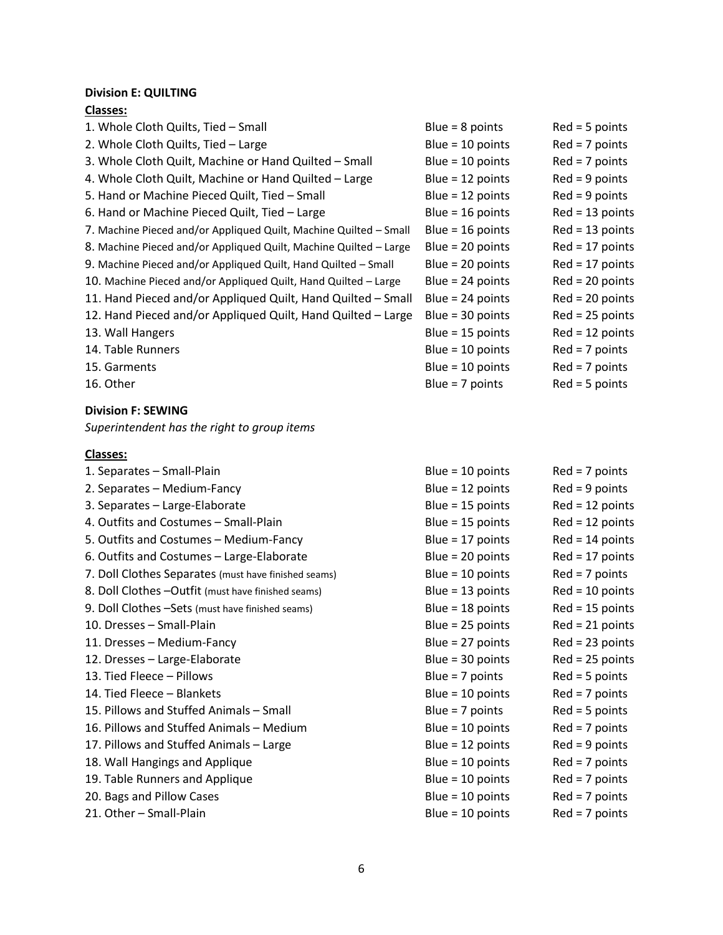# **Division E: QUILTING**

## **Classes:**

| 1. Whole Cloth Quilts, Tied - Small                               | Blue = $8$ points  | $Red = 5$ points  |
|-------------------------------------------------------------------|--------------------|-------------------|
| 2. Whole Cloth Quilts, Tied - Large                               | Blue = $10$ points | $Red = 7 points$  |
| 3. Whole Cloth Quilt, Machine or Hand Quilted - Small             | Blue = $10$ points | $Red = 7 points$  |
| 4. Whole Cloth Quilt, Machine or Hand Quilted - Large             | Blue = $12$ points | $Red = 9$ points  |
| 5. Hand or Machine Pieced Quilt, Tied - Small                     | Blue = $12$ points | $Red = 9 points$  |
| 6. Hand or Machine Pieced Quilt, Tied - Large                     | Blue = $16$ points | $Red = 13$ points |
| 7. Machine Pieced and/or Appliqued Quilt, Machine Quilted - Small | Blue = $16$ points | $Red = 13$ points |
| 8. Machine Pieced and/or Appliqued Quilt, Machine Quilted - Large | Blue = $20$ points | $Red = 17$ points |
| 9. Machine Pieced and/or Appliqued Quilt, Hand Quilted - Small    | Blue = $20$ points | $Red = 17$ points |
| 10. Machine Pieced and/or Appliqued Quilt, Hand Quilted - Large   | Blue = $24$ points | $Red = 20$ points |
| 11. Hand Pieced and/or Appliqued Quilt, Hand Quilted - Small      | Blue = $24$ points | $Red = 20$ points |
| 12. Hand Pieced and/or Appliqued Quilt, Hand Quilted - Large      | Blue = $30$ points | $Red = 25$ points |
| 13. Wall Hangers                                                  | Blue = $15$ points | $Red = 12$ points |
| 14. Table Runners                                                 | Blue = $10$ points | $Red = 7 points$  |
| 15. Garments                                                      | Blue = $10$ points | $Red = 7 points$  |
| 16. Other                                                         | Blue = $7$ points  | $Red = 5$ points  |
| <b>Division F: SEWING</b>                                         |                    |                   |

*Superintendent has the right to group items*

# **Classes:**

| 1. Separates - Small-Plain                           | Blue = $10$ points | $Red = 7$ points  |
|------------------------------------------------------|--------------------|-------------------|
| 2. Separates - Medium-Fancy                          | Blue = $12$ points | $Red = 9$ points  |
| 3. Separates - Large-Elaborate                       | Blue = $15$ points | $Red = 12$ points |
| 4. Outfits and Costumes - Small-Plain                | Blue = $15$ points | $Red = 12$ points |
| 5. Outfits and Costumes - Medium-Fancy               | Blue = $17$ points | $Red = 14$ points |
| 6. Outfits and Costumes - Large-Elaborate            | Blue = $20$ points | $Red = 17$ points |
| 7. Doll Clothes Separates (must have finished seams) | Blue = $10$ points | $Red = 7 points$  |
| 8. Doll Clothes -Outfit (must have finished seams)   | Blue = $13$ points | $Red = 10$ points |
| 9. Doll Clothes -Sets (must have finished seams)     | Blue = $18$ points | $Red = 15$ points |
| 10. Dresses - Small-Plain                            | Blue = $25$ points | $Red = 21$ points |
| 11. Dresses - Medium-Fancy                           | Blue = $27$ points | $Red = 23 points$ |
| 12. Dresses - Large-Elaborate                        | Blue = $30$ points | $Red = 25$ points |
| 13. Tied Fleece – Pillows                            | Blue = $7$ points  | $Red = 5$ points  |
| 14. Tied Fleece - Blankets                           | Blue = $10$ points | $Red = 7$ points  |
| 15. Pillows and Stuffed Animals - Small              | Blue = $7$ points  | $Red = 5$ points  |
| 16. Pillows and Stuffed Animals - Medium             | Blue = $10$ points | $Red = 7$ points  |
| 17. Pillows and Stuffed Animals - Large              | Blue = $12$ points | $Red = 9$ points  |
| 18. Wall Hangings and Applique                       | Blue = $10$ points | $Red = 7$ points  |
| 19. Table Runners and Applique                       | Blue = $10$ points | $Red = 7$ points  |
| 20. Bags and Pillow Cases                            | Blue = $10$ points | $Red = 7 points$  |
| 21. Other - Small-Plain                              | Blue = $10$ points | $Red = 7$ points  |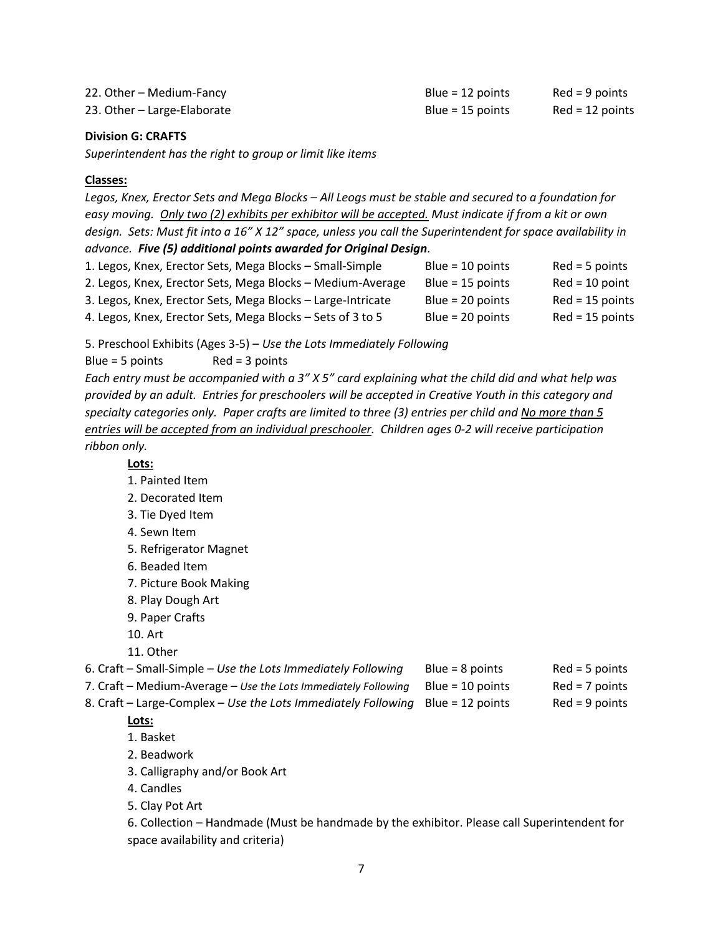| 22. Other - Medium-Fancy    | Blue = $12$ points | $Red = 9$ points  |
|-----------------------------|--------------------|-------------------|
| 23. Other - Large-Elaborate | Blue = $15$ points | $Red = 12$ points |

#### **Division G: CRAFTS**

*Superintendent has the right to group or limit like items*

#### **Classes:**

*Legos, Knex, Erector Sets and Mega Blocks – All Leogs must be stable and secured to a foundation for easy moving. Only two (2) exhibits per exhibitor will be accepted. Must indicate if from a kit or own design. Sets: Must fit into a 16" X 12" space, unless you call the Superintendent for space availability in advance. Five (5) additional points awarded for Original Design.* 1. Legos, Knex, Erector Sets, Mega Blocks – Small-Simple Blue = 10 points Red = 5 points 2. Legos, Knex, Erector Sets, Mega Blocks – Medium-Average Blue = 15 points Red = 10 point 3. Legos, Knex, Erector Sets, Mega Blocks – Large-Intricate Blue = 20 points Red = 15 points 4. Legos, Knex, Erector Sets, Mega Blocks – Sets of 3 to 5 Blue = 20 points Red = 15 points

5. Preschool Exhibits (Ages 3-5) – *Use the Lots Immediately Following*

 $Blue = 5 points$  Red = 3 points

*Each entry must be accompanied with a 3" X 5" card explaining what the child did and what help was provided by an adult. Entries for preschoolers will be accepted in Creative Youth in this category and specialty categories only. Paper crafts are limited to three (3) entries per child and No more than 5 entries will be accepted from an individual preschooler. Children ages 0-2 will receive participation ribbon only.*

**Lots:**

- 1. Painted Item
- 2. Decorated Item
- 3. Tie Dyed Item
- 4. Sewn Item
- 5. Refrigerator Magnet
- 6. Beaded Item
- 7. Picture Book Making
- 8. Play Dough Art
- 9. Paper Crafts
- 10. Art
- 11. Other
- 6. Craft Small-Simple *Use the Lots Immediately Following* Blue = 8 points Red = 5 points
- 7. Craft Medium-Average Use the Lots Immediately Following Blue = 10 points Red = 7 points

8. Craft – Large-Complex – Use the Lots Immediately Following Blue = 12 points Red = 9 points

#### **Lots:**

- 1. Basket
- 2. Beadwork
- 3. Calligraphy and/or Book Art
- 4. Candles
- 5. Clay Pot Art

6. Collection – Handmade (Must be handmade by the exhibitor. Please call Superintendent for space availability and criteria)

- - -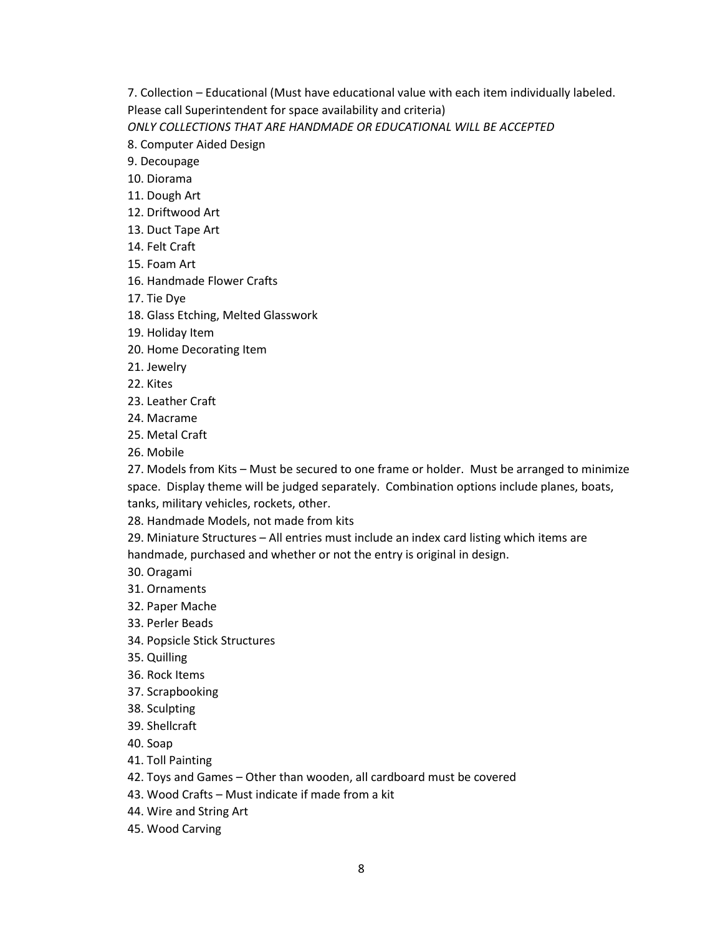7. Collection – Educational (Must have educational value with each item individually labeled. Please call Superintendent for space availability and criteria)

*ONLY COLLECTIONS THAT ARE HANDMADE OR EDUCATIONAL WILL BE ACCEPTED*

- 8. Computer Aided Design
- 9. Decoupage
- 10. Diorama
- 11. Dough Art
- 12. Driftwood Art
- 13. Duct Tape Art
- 14. Felt Craft
- 15. Foam Art
- 16. Handmade Flower Crafts
- 17. Tie Dye
- 18. Glass Etching, Melted Glasswork
- 19. Holiday Item
- 20. Home Decorating Item
- 21. Jewelry
- 22. Kites
- 23. Leather Craft
- 24. Macrame
- 25. Metal Craft
- 26. Mobile

27. Models from Kits – Must be secured to one frame or holder. Must be arranged to minimize space. Display theme will be judged separately. Combination options include planes, boats, tanks, military vehicles, rockets, other.

28. Handmade Models, not made from kits

29. Miniature Structures – All entries must include an index card listing which items are handmade, purchased and whether or not the entry is original in design.

- 30. Oragami
- 31. Ornaments
- 32. Paper Mache
- 33. Perler Beads
- 34. Popsicle Stick Structures
- 35. Quilling
- 36. Rock Items
- 37. Scrapbooking
- 38. Sculpting
- 39. Shellcraft
- 40. Soap
- 41. Toll Painting
- 42. Toys and Games Other than wooden, all cardboard must be covered
- 43. Wood Crafts Must indicate if made from a kit
- 44. Wire and String Art
- 45. Wood Carving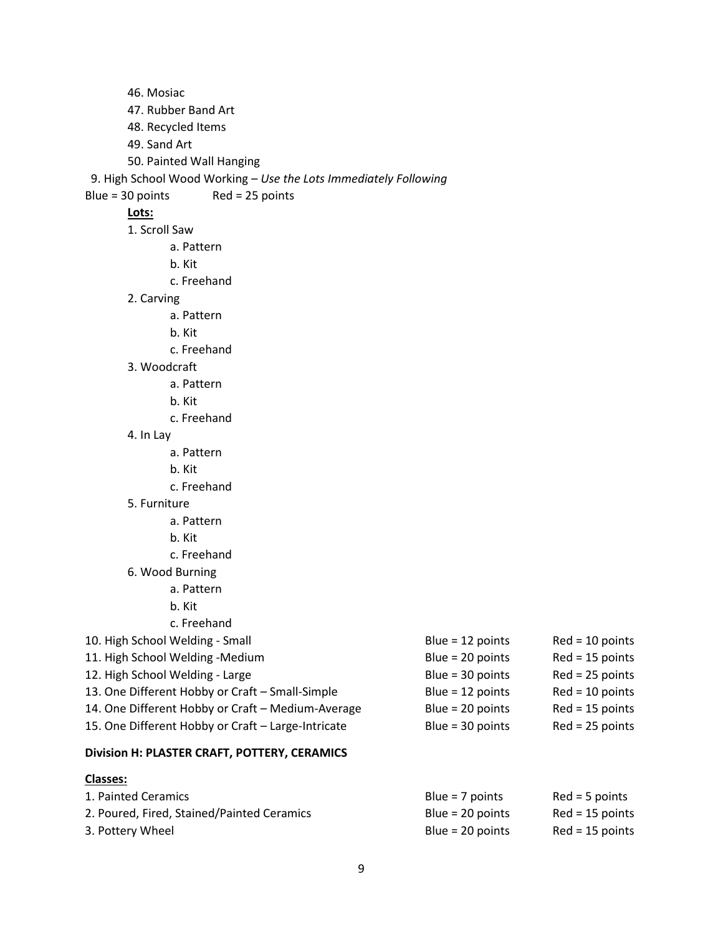46. Mosiac 47. Rubber Band Art 48. Recycled Items 49. Sand Art 50. Painted Wall Hanging 9. High School Wood Working – *Use the Lots Immediately Following* Blue = 30 points Red = 25 points **Lots:** 1. Scroll Saw a. Pattern b. Kit c. Freehand 2. Carving a. Pattern b. Kit c. Freehand 3. Woodcraft a. Pattern b. Kit c. Freehand 4. In Lay a. Pattern b. Kit c. Freehand 5. Furniture a. Pattern b. Kit c. Freehand 6. Wood Burning a. Pattern b. Kit c. Freehand 10. High School Welding - Small Blue = 12 points Red = 10 points 11. High School Welding -Medium Blue = 20 points Red = 15 points 12. High School Welding - Large **Blue = 30 points** Red = 25 points Red = 25 points 13. One Different Hobby or Craft – Small-Simple Blue = 12 points Red = 10 points 14. One Different Hobby or Craft – Medium-Average Blue = 20 points Red = 15 points 15. One Different Hobby or Craft – Large-Intricate Blue = 30 points Red = 25 points **Division H: PLASTER CRAFT, POTTERY, CERAMICS**

#### **Classes:**

| 1. Painted Ceramics                        | Blue = $7$ points  | $Red = 5$ points  |
|--------------------------------------------|--------------------|-------------------|
| 2. Poured, Fired, Stained/Painted Ceramics | $Blue = 20 points$ | $Red = 15$ points |
| 3. Pottery Wheel                           | $Blue = 20 points$ | $Red = 15$ points |